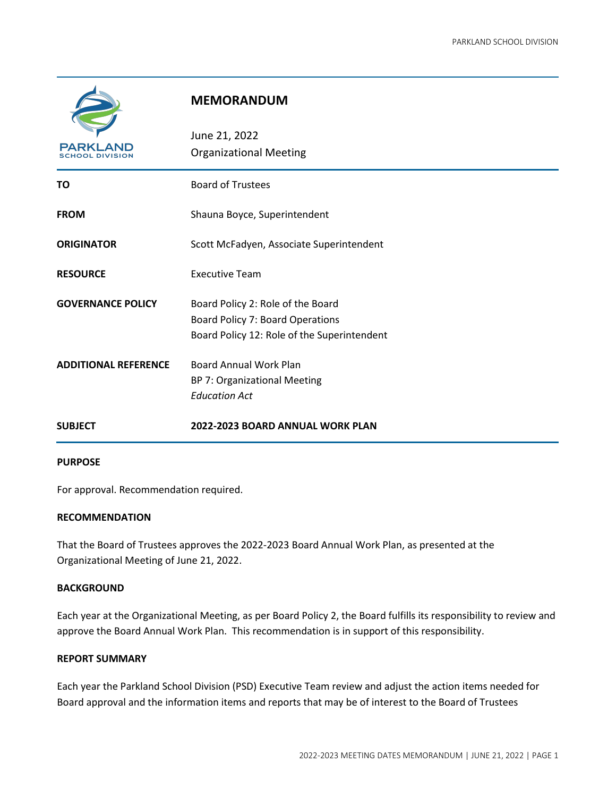

### **MEMORANDUM**

| PARKLAND<br>SCHOOL DIVISION | June 21, 2022<br><b>Organizational Meeting</b>                                                                       |  |
|-----------------------------|----------------------------------------------------------------------------------------------------------------------|--|
| TO                          | <b>Board of Trustees</b>                                                                                             |  |
| <b>FROM</b>                 | Shauna Boyce, Superintendent                                                                                         |  |
| <b>ORIGINATOR</b>           | Scott McFadyen, Associate Superintendent                                                                             |  |
| <b>RESOURCE</b>             | <b>Executive Team</b>                                                                                                |  |
| <b>GOVERNANCE POLICY</b>    | Board Policy 2: Role of the Board<br>Board Policy 7: Board Operations<br>Board Policy 12: Role of the Superintendent |  |
| <b>ADDITIONAL REFERENCE</b> | <b>Board Annual Work Plan</b><br>BP 7: Organizational Meeting<br><b>Education Act</b>                                |  |
| <b>SUBJECT</b>              | 2022-2023 BOARD ANNUAL WORK PLAN                                                                                     |  |

### **PURPOSE**

For approval. Recommendation required.

### **RECOMMENDATION**

That the Board of Trustees approves the 2022-2023 Board Annual Work Plan, as presented at the Organizational Meeting of June 21, 2022.

### **BACKGROUND**

Each year at the Organizational Meeting, as per Board Policy 2, the Board fulfills its responsibility to review and approve the Board Annual Work Plan. This recommendation is in support of this responsibility.

### **REPORT SUMMARY**

Each year the Parkland School Division (PSD) Executive Team review and adjust the action items needed for Board approval and the information items and reports that may be of interest to the Board of Trustees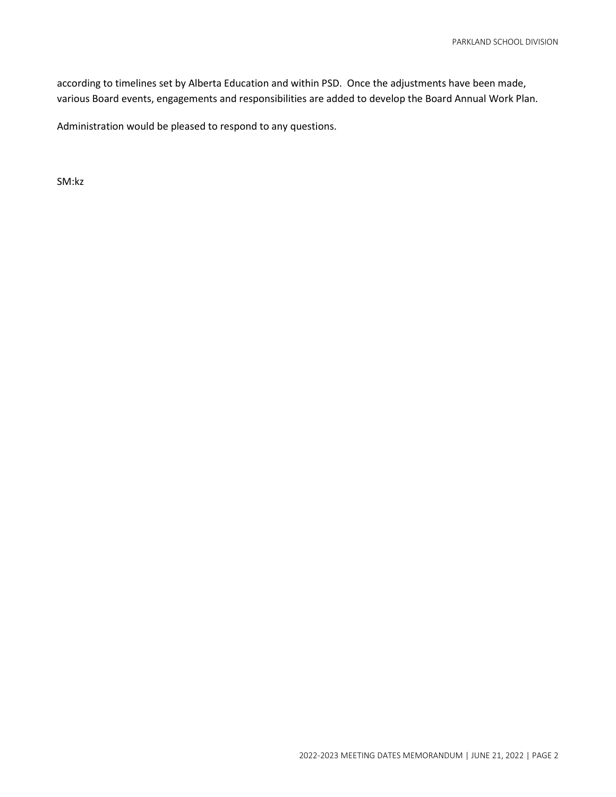according to timelines set by Alberta Education and within PSD. Once the adjustments have been made, various Board events, engagements and responsibilities are added to develop the Board Annual Work Plan.

Administration would be pleased to respond to any questions.

SM:kz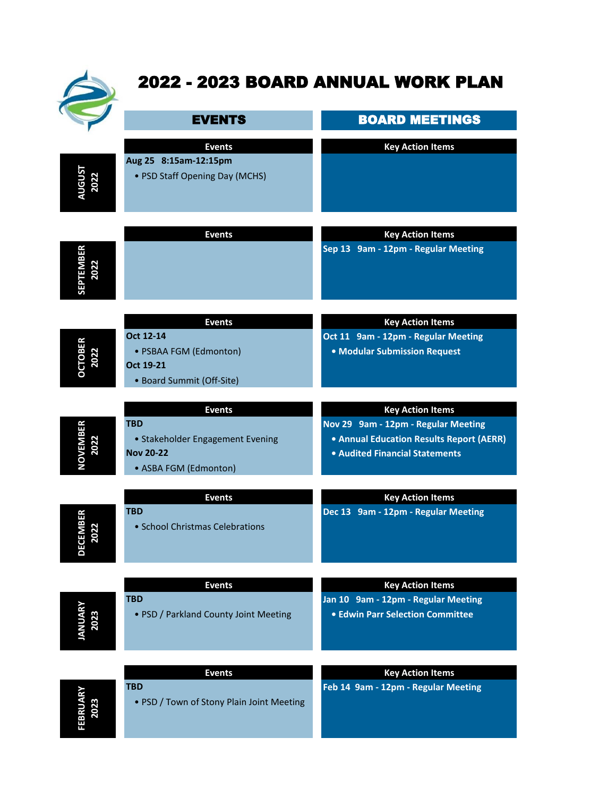

# 2022 - 2023 BOARD ANNUAL WORK PLAN

|                          | <b>EVENTS</b>                                                                                                | <b>BOARD MEETINGS</b>                                                                                                                        |
|--------------------------|--------------------------------------------------------------------------------------------------------------|----------------------------------------------------------------------------------------------------------------------------------------------|
| <b>UGUST<br/>2022</b>    | <b>Events</b><br>Aug 25 8:15am-12:15pm<br>• PSD Staff Opening Day (MCHS)                                     | <b>Key Action Items</b>                                                                                                                      |
| <b>SEPTEMBER</b><br>2022 | <b>Events</b>                                                                                                | <b>Key Action Items</b><br>Sep 13 9am - 12pm - Regular Meeting                                                                               |
| <b>OCTOBER</b><br>2022   | <b>Events</b><br>Oct 12-14<br>• PSBAA FGM (Edmonton)<br>Oct 19-21<br>• Board Summit (Off-Site)               | <b>Key Action Items</b><br>Oct 11 9am - 12pm - Regular Meeting<br>• Modular Submission Request                                               |
| <b>NOVEMBER</b><br>2022  | <b>Events</b><br><b>TBD</b><br>• Stakeholder Engagement Evening<br><b>Nov 20-22</b><br>• ASBA FGM (Edmonton) | <b>Key Action Items</b><br>Nov 29 9am - 12pm - Regular Meeting<br>• Annual Education Results Report (AERR)<br>• Audited Financial Statements |
| <b>DECEMBER</b><br>2022  | <b>Events</b><br>TBD<br>• School Christmas Celebrations                                                      | <b>Key Action Items</b><br>Dec 13 9am - 12pm - Regular Meeting                                                                               |
| <b>JANUARY</b><br>2023   | <b>Events</b><br><b>TBD</b><br>• PSD / Parkland County Joint Meeting                                         | <b>Key Action Items</b><br>Jan 10 9am - 12pm - Regular Meeting<br><b>• Edwin Parr Selection Committee</b>                                    |
| FEBRUARY<br>2023         | <b>Events</b><br><b>TBD</b><br>• PSD / Town of Stony Plain Joint Meeting                                     | <b>Key Action Items</b><br>Feb 14 9am - 12pm - Regular Meeting                                                                               |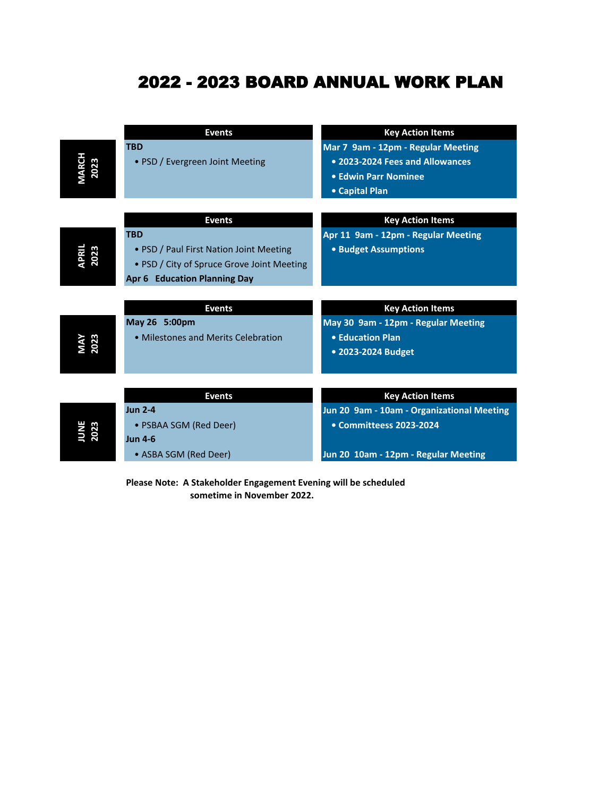## 2022 - 2023 BOARD ANNUAL WORK PLAN

|               | <b>Events</b>                              | <b>Key Action Items</b>                    |
|---------------|--------------------------------------------|--------------------------------------------|
|               | <b>TBD</b>                                 | Mar 7 9am - 12pm - Regular Meeting         |
|               | • PSD / Evergreen Joint Meeting            | • 2023-2024 Fees and Allowances            |
|               |                                            | • Edwin Parr Nominee                       |
|               |                                            | • Capital Plan                             |
|               |                                            |                                            |
|               | <b>Events</b>                              | <b>Key Action Items</b>                    |
|               | <b>TBD</b>                                 | Apr 11 9am - 12pm - Regular Meeting        |
| APRIL<br>2023 | • PSD / Paul First Nation Joint Meeting    | • Budget Assumptions                       |
|               | • PSD / City of Spruce Grove Joint Meeting |                                            |
|               | <b>Apr 6 Education Planning Day</b>        |                                            |
|               |                                            |                                            |
|               | <b>Events</b>                              | <b>Key Action Items</b>                    |
|               | May 26 5:00pm                              | May 30 9am - 12pm - Regular Meeting        |
| 2023          | • Milestones and Merits Celebration        | • Education Plan                           |
|               |                                            | • 2023-2024 Budget                         |
|               |                                            |                                            |
|               | <b>Events</b>                              |                                            |
|               | <b>Jun 2-4</b>                             | <b>Key Action Items</b>                    |
|               |                                            | Jun 20 9am - 10am - Organizational Meeting |
| 2023          | • PSBAA SGM (Red Deer)                     | • Committeess 2023-2024                    |
|               | <b>Jun 4-6</b>                             |                                            |
|               | • ASBA SGM (Red Deer)                      | Jun 20 10am - 12pm - Regular Meeting       |

**Please Note: A Stakeholder Engagement Evening will be scheduled sometime in November 2022.**